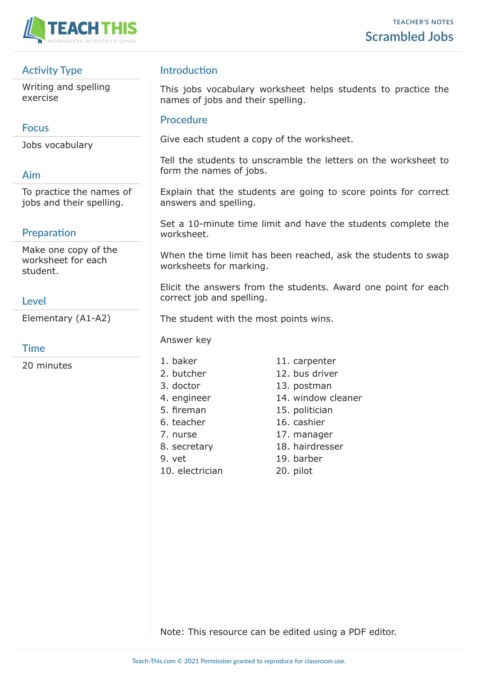

## **Activity Type**

Writing and spelling exercise

#### **Focus**

Jobs vocabulary

### **Aim**

To practice the names of jobs and their spelling.

# **Preparation**

Make one copy of the worksheet for each student.

### **Level**

Elementary (A1-A2)

#### **Time**

20 minutes

#### **Introduction**

This jobs vocabulary worksheet helps students to practice the names of jobs and their spelling.

#### **Procedure**

Give each student a copy of the worksheet.

Tell the students to unscramble the letters on the worksheet to form the names of jobs.

Explain that the students are going to score points for correct answers and spelling.

Set a 10-minute time limit and have the students complete the worksheet.

When the time limit has been reached, ask the students to swap worksheets for marking.

Elicit the answers from the students. Award one point for each correct job and spelling.

The student with the most points wins.

Answer key

- 
- 
- 
- 
- 
- 
- 
- 
- 
- 10. electrician 20. pilot
- 1. baker 11. carpenter
- 2. butcher 12. bus driver
- 3. doctor 13. postman
- 4. engineer 14. window cleaner
- 5. fireman 15. politician
- 6. teacher 16. cashier
- 7. nurse 17. manager
- 8. secretary 18. hairdresser
- 9. vet 19. barber
	-

Note: This resource can be edited using a PDF editor.